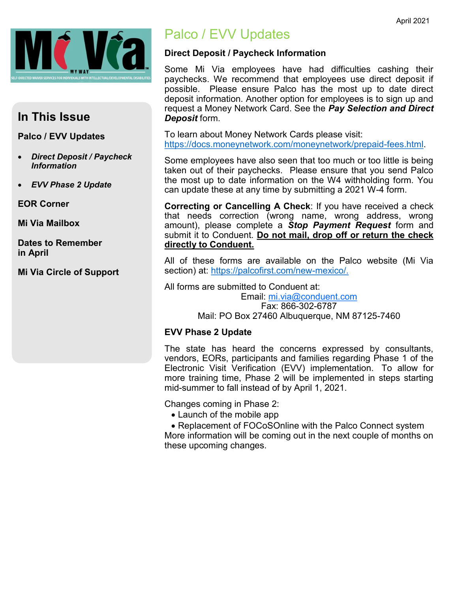

## **In This Issue**

#### **Palco / EVV Updates**

- *Direct Deposit / Paycheck Information*
- *EVV Phase 2 Update*

**EOR Corner**

**Mi Via Mailbox**

**Dates to Remember in April**

**Mi Via Circle of Support**

## Palco / EVV Updates

#### **Direct Deposit / Paycheck Information**

Some Mi Via employees have had difficulties cashing their paychecks. We recommend that employees use direct deposit if possible. Please ensure Palco has the most up to date direct deposit information. Another option for employees is to sign up and request a Money Network Card. See the *Pay Selection and Direct Deposit* form.

To learn about Money Network Cards please visit: [https://docs.moneynetwork.com/moneynetwork/prepaid](https://docs.moneynetwork.com/moneynetwork/prepaid-fees.html)-fees.html.

Some employees have also seen that too much or too little is being taken out of their paychecks. Please ensure that you send Palco the most up to date information on the W4 withholding form. You can update these at any time by submitting a 2021 W-4 form.

**Correcting or Cancelling A Check**: If you have received a check that needs correction (wrong name, wrong address, wrong amount), please complete a *Stop Payment Request* form and submit it to Conduent. **Do not mail, drop off or return the check directly to Conduent.**

All of these forms are available on the Palco website (Mi Via section) at: [https://palcofirst.com/new](https://palcofirst.com/new-mexico/)-mexico/.

All forms are submitted to Conduent at:

Email: [mi.via@conduent.com](mailto:mi.via@conduent.com) Fax: 866-302-6787 Mail: PO Box 27460 Albuquerque, NM 87125-7460

#### **EVV Phase 2 Update**

The state has heard the concerns expressed by consultants, vendors, EORs, participants and families regarding Phase 1 of the Electronic Visit Verification (EVV) implementation. To allow for more training time, Phase 2 will be implemented in steps starting mid-summer to fall instead of by April 1, 2021.

Changes coming in Phase 2:

• Launch of the mobile app

• Replacement of FOCoSOnline with the Palco Connect system More information will be coming out in the next couple of months on these upcoming changes.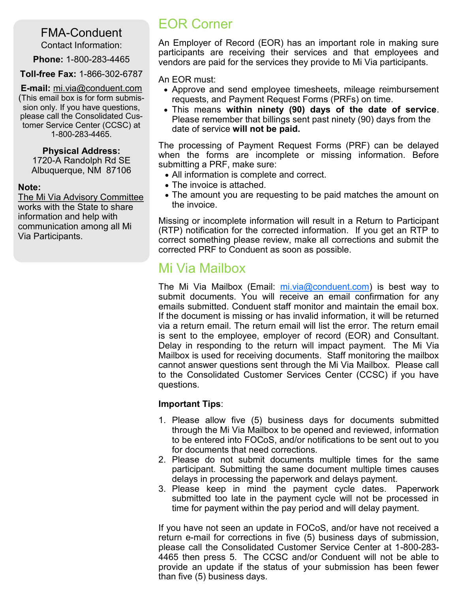## FMA-Conduent

Contact Information:

**Phone:** 1-800-283-4465

**Toll-free Fax:** 1-866-302-6787

**E-mail:** mi.via@conduent.com (This email box is for form submission only. If you have questions, please call the Consolidated Customer Service Center (CCSC) at 1-800-283-4465.

#### **Physical Address:**

1720-A Randolph Rd SE Albuquerque, NM 87106

#### **Note:**

The Mi Via Advisory Committee works with the State to share information and help with communication among all Mi Via Participants.

## EOR Corner

An Employer of Record (EOR) has an important role in making sure participants are receiving their services and that employees and vendors are paid for the services they provide to Mi Via participants.

An EOR must:

- Approve and send employee timesheets, mileage reimbursement requests, and Payment Request Forms (PRFs) on time.
- This means **within ninety (90) days of the date of service**. Please remember that billings sent past ninety (90) days from the date of service **will not be paid.**

The processing of Payment Request Forms (PRF) can be delayed when the forms are incomplete or missing information. Before submitting a PRF, make sure:

- All information is complete and correct.
- The invoice is attached.
- The amount you are requesting to be paid matches the amount on the invoice.

Missing or incomplete information will result in a Return to Participant (RTP) notification for the corrected information. If you get an RTP to correct something please review, make all corrections and submit the corrected PRF to Conduent as soon as possible.

## Mi Via Mailbox

The Mi Via Mailbox (Email: [mi.via@conduent.com\)](mailto:mi.via@conduent.com) is best way to submit documents. You will receive an email confirmation for any emails submitted. Conduent staff monitor and maintain the email box. If the document is missing or has invalid information, it will be returned via a return email. The return email will list the error. The return email is sent to the employee, employer of record (EOR) and Consultant. Delay in responding to the return will impact payment. The Mi Via Mailbox is used for receiving documents. Staff monitoring the mailbox cannot answer questions sent through the Mi Via Mailbox. Please call to the Consolidated Customer Services Center (CCSC) if you have questions.

### **Important Tips**:

- 1. Please allow five (5) business days for documents submitted through the Mi Via Mailbox to be opened and reviewed, information to be entered into FOCoS, and/or notifications to be sent out to you for documents that need corrections.
- 2. Please do not submit documents multiple times for the same participant. Submitting the same document multiple times causes delays in processing the paperwork and delays payment.
- 3. Please keep in mind the payment cycle dates. Paperwork submitted too late in the payment cycle will not be processed in time for payment within the pay period and will delay payment.

If you have not seen an update in FOCoS, and/or have not received a return e-mail for corrections in five (5) business days of submission, please call the Consolidated Customer Service Center at 1-800-283- 4465 then press 5. The CCSC and/or Conduent will not be able to provide an update if the status of your submission has been fewer than five (5) business days.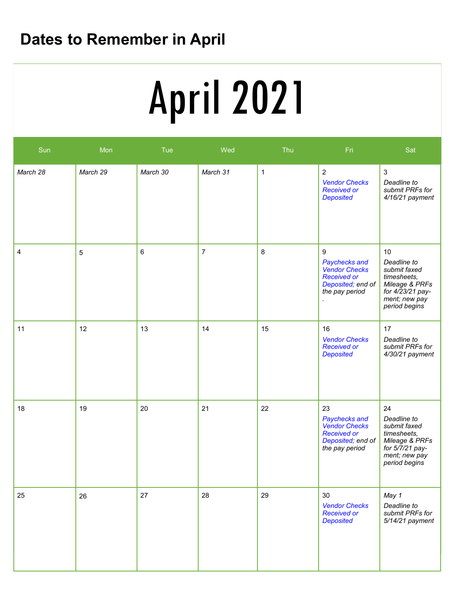# **Dates to Remember in April**

# **Service Deliveries Concerns (E.g. SSP)** April 2021

| Sun      | Mon        | Tue      | Wed            | Thu          | Fri                                                                                                      | Sat                                                                                                                      |
|----------|------------|----------|----------------|--------------|----------------------------------------------------------------------------------------------------------|--------------------------------------------------------------------------------------------------------------------------|
| March 28 | March 29   | March 30 | March 31       | $\mathbf{1}$ | $\overline{2}$<br><b>Vendor Checks</b><br><b>Received or</b><br><b>Deposited</b>                         | $\mathfrak{Z}$<br>Deadline to<br>submit PRFs for<br>$4/16/21$ payment                                                    |
| 4        | $\sqrt{5}$ | $\,6\,$  | $\overline{7}$ | $\,8\,$      | 9<br>Paychecks and<br><b>Vendor Checks</b><br><b>Received or</b><br>Deposited; end of<br>the pay period  | 10<br>Deadline to<br>submit faxed<br>timesheets,<br>Mileage & PRFs<br>for 4/23/21 pay-<br>ment; new pay<br>period begins |
| 11       | 12         | 13       | 14             | 15           | 16<br><b>Vendor Checks</b><br><b>Received or</b><br><b>Deposited</b>                                     | 17<br>Deadline to<br>submit PRFs for<br>4/30/21 payment                                                                  |
| 18       | 19         | 20       | 21             | 22           | 23<br>Paychecks and<br><b>Vendor Checks</b><br><b>Received or</b><br>Deposited; end of<br>the pay period | 24<br>Deadline to<br>submit faxed<br>timesheets,<br>Mileage & PRFs<br>for 5/7/21 pay-<br>ment; new pay<br>period begins  |
| 25       | 26         | 27       | 28             | 29           | 30<br><b>Vendor Checks</b><br><b>Received or</b><br><b>Deposited</b>                                     | May 1<br>Deadline to<br>submit PRFs for<br>5/14/21 payment                                                               |